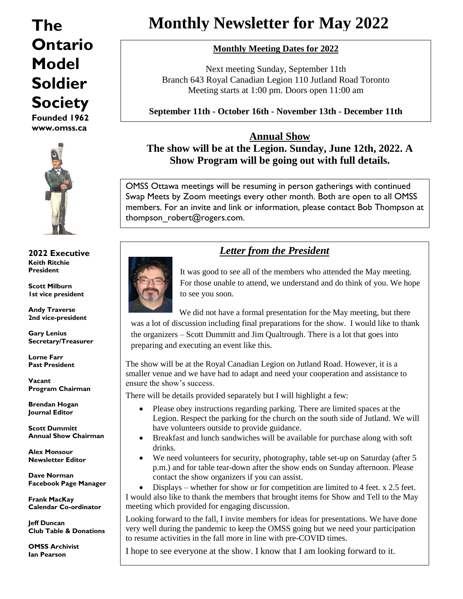## **Ontario Model Soldier Society**

**Founded 1962 www.omss.ca** 



**2022 Executive Keith Ritchie President** 

**Scott Milburn 1st vice president** 

**Andy Traverse 2nd vice-president** 

**Gary Lenius Secretary/Treasurer** 

**Lorne Farr Past President** 

**Vacant Program Chairman** 

**Brendan Hogan Journal Editor** 

**Scott Dummitt Annual Show Chairman** 

**Alex Monsour Newsletter Editor**

**Dave Norman Facebook Page Manager**

**Frank MacKay Calendar Co-ordinator**

**Jeff Duncan Club Table & Donations**

**OMSS Archivist Ian Pearson**

### **The Monthly Newsletter for May 2022**

#### **Monthly Meeting Dates for 2022**

Next meeting Sunday, September 11th Branch 643 Royal Canadian Legion 110 Jutland Road Toronto Meeting starts at 1:00 pm. Doors open 11:00 am

**September 11th - October 16th - November 13th - December 11th**

#### **Annual Show**

#### **The show will be at the Legion. Sunday, June 12th, 2022. A Show Program will be going out with full details.**

OMSS Ottawa meetings will be resuming in person gatherings with continued Swap Meets by Zoom meetings every other month. Both are open to all OMSS members. For an invite and link or information, please contact Bob Thompson at thompson\_robert@rogers.com.



#### *Letter from the President*

It was good to see all of the members who attended the May meeting. For those unable to attend, we understand and do think of you. We hope to see you soon.

We did not have a formal presentation for the May meeting, but there was a lot of discussion including final preparations for the show. I would like to thank the organizers – Scott Dummitt and Jim Qualtrough. There is a lot that goes into preparing and executing an event like this.

The show will be at the Royal Canadian Legion on Jutland Road. However, it is a smaller venue and we have had to adapt and need your cooperation and assistance to ensure the show's success.

There will be details provided separately but I will highlight a few:

- Please obey instructions regarding parking. There are limited spaces at the Legion. Respect the parking for the church on the south side of Jutland. We will have volunteers outside to provide guidance.
- Breakfast and lunch sandwiches will be available for purchase along with soft drinks.
- We need volunteers for security, photography, table set-up on Saturday (after 5 p.m.) and for table tear-down after the show ends on Sunday afternoon. Please contact the show organizers if you can assist.

 Displays – whether for show or for competition are limited to 4 feet. x 2.5 feet. I would also like to thank the members that brought items for Show and Tell to the May meeting which provided for engaging discussion.

Looking forward to the fall, I invite members for ideas for presentations. We have done very well during the pandemic to keep the OMSS going but we need your participation to resume activities in the fall more in line with pre-COVID times.

I hope to see everyone at the show. I know that I am looking forward to it.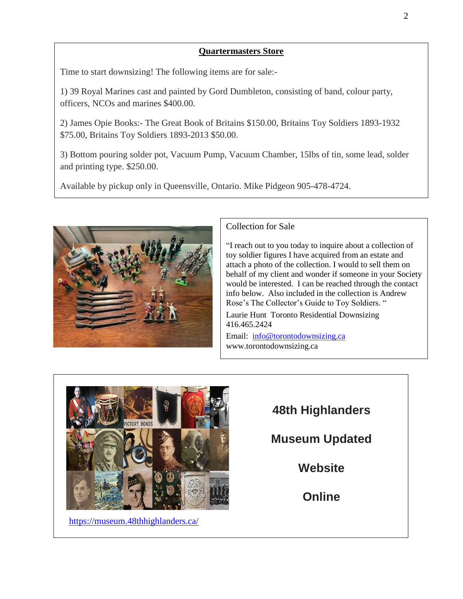#### **Quartermasters Store**

Time to start downsizing! The following items are for sale:-

1) 39 Royal Marines cast and painted by Gord Dumbleton, consisting of band, colour party, officers, NCOs and marines \$400.00.

2) James Opie Books:- The Great Book of Britains \$150.00, Britains Toy Soldiers 1893-1932 \$75.00, Britains Toy Soldiers 1893-2013 \$50.00.

3) Bottom pouring solder pot, Vacuum Pump, Vacuum Chamber, 15lbs of tin, some lead, solder and printing type. \$250.00.

Available by pickup only in Queensville, Ontario. Mike Pidgeon 905-478-4724.



#### Collection for Sale

"I reach out to you today to inquire about a collection of toy soldier figures I have acquired from an estate and attach a photo of the collection. I would to sell them on behalf of my client and wonder if someone in your Society would be interested. I can be reached through the contact info below. Also included in the collection is Andrew Rose's The Collector's Guide to Toy Soldiers. "

Laurie Hunt Toronto Residential Downsizing 416.465.2424

Email: [info@torontodownsizing.ca](mailto:info@torontodownsizing.ca) www.torontodownsizing.ca



<https://museum.48thhighlanders.ca/>

# **48th Highlanders Museum Updated Website Online**